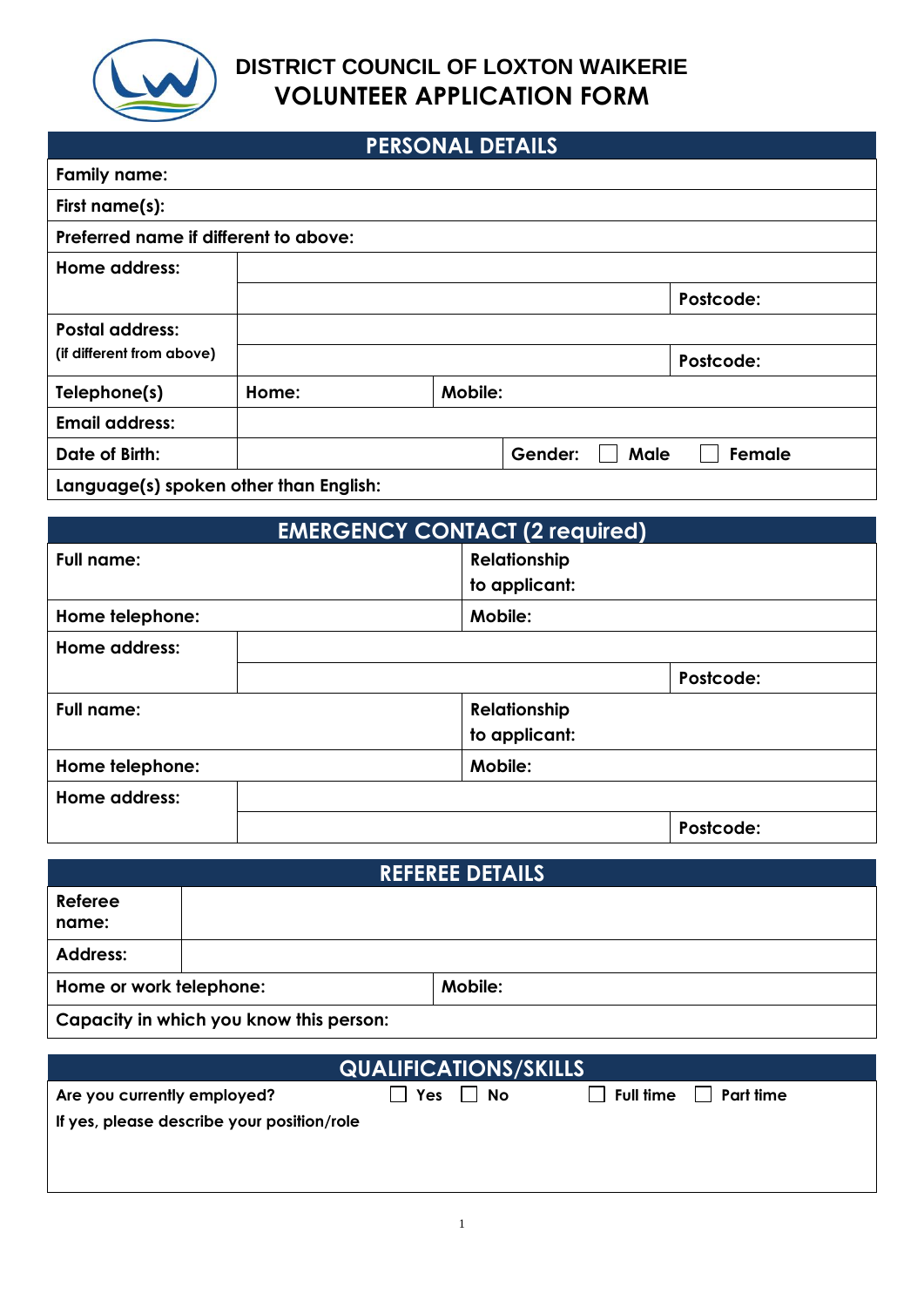

### **PERSONAL DETAILS**

| LENGONAL DEIAILS                       |       |                |                 |           |
|----------------------------------------|-------|----------------|-----------------|-----------|
| <b>Family name:</b>                    |       |                |                 |           |
| First name(s):                         |       |                |                 |           |
| Preferred name if different to above:  |       |                |                 |           |
| Home address:                          |       |                |                 |           |
|                                        |       |                |                 | Postcode: |
| <b>Postal address:</b>                 |       |                |                 |           |
| (if different from above)              |       |                |                 | Postcode: |
| Telephone(s)                           | Home: | <b>Mobile:</b> |                 |           |
| <b>Email address:</b>                  |       |                |                 |           |
| Date of Birth:                         |       |                | Male<br>Gender: | Female    |
| Language(s) spoken other than English: |       |                |                 |           |

| <b>EMERGENCY CONTACT (2 required)</b> |               |           |
|---------------------------------------|---------------|-----------|
| <b>Full name:</b>                     | Relationship  |           |
|                                       | to applicant: |           |
| Home telephone:                       | Mobile:       |           |
| Home address:                         |               |           |
|                                       |               | Postcode: |
| <b>Full name:</b>                     | Relationship  |           |
|                                       | to applicant: |           |
| Home telephone:                       | Mobile:       |           |
| Home address:                         |               |           |
|                                       |               | Postcode: |

| <b>REFEREE DETAILS</b>                  |  |         |
|-----------------------------------------|--|---------|
| Referee<br>name:                        |  |         |
| <b>Address:</b>                         |  |         |
| Home or work telephone:                 |  | Mobile: |
| Capacity in which you know this person: |  |         |

| <b>QUALIFICATIONS/SKILLS</b>               |     |    |                  |           |
|--------------------------------------------|-----|----|------------------|-----------|
| Are you currently employed?                | Yes | No | <b>Full time</b> | Part time |
| If yes, please describe your position/role |     |    |                  |           |
|                                            |     |    |                  |           |
|                                            |     |    |                  |           |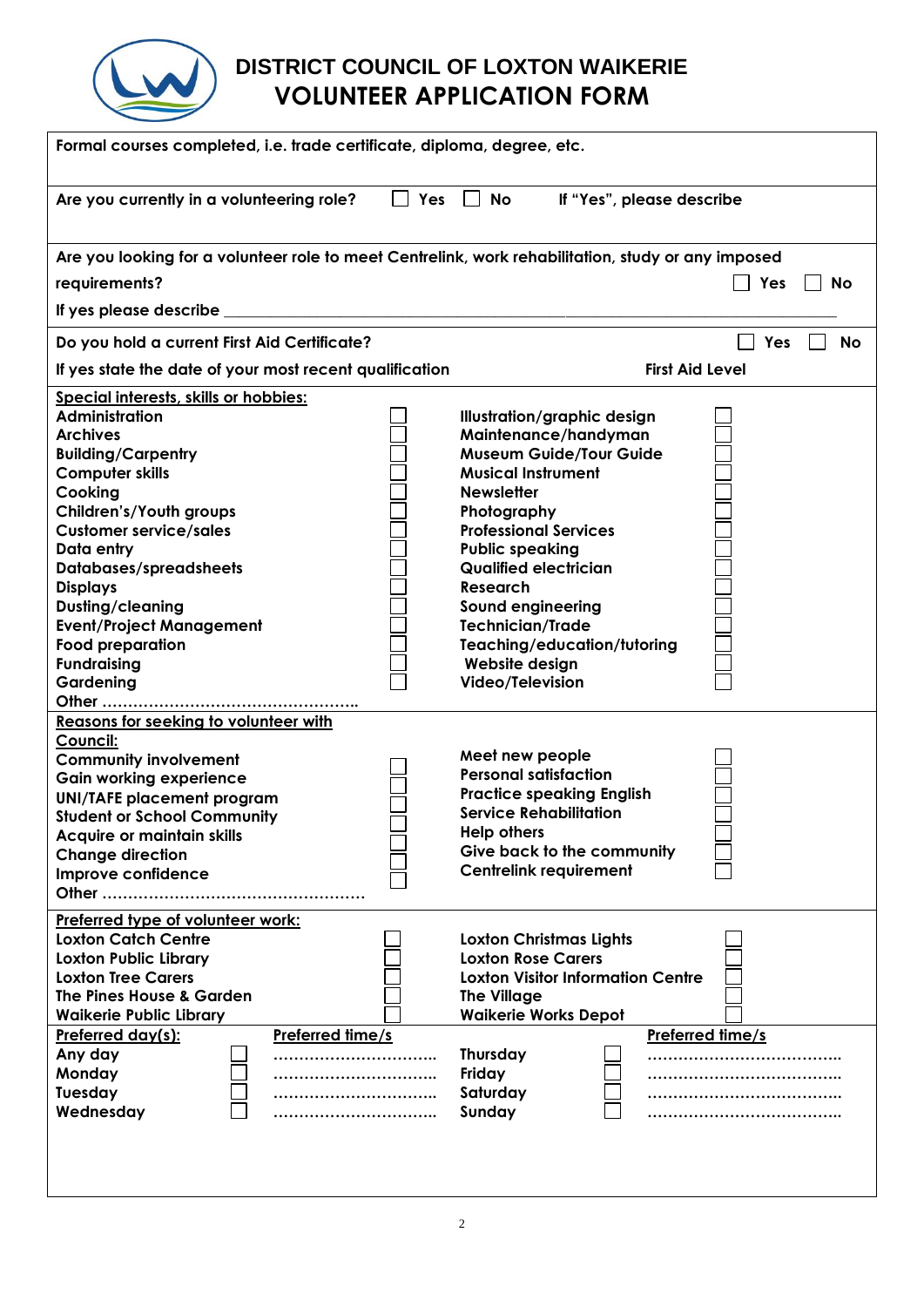

| Formal courses completed, i.e. trade certificate, diploma, degree, etc.                            |                                             |  |  |
|----------------------------------------------------------------------------------------------------|---------------------------------------------|--|--|
| Yes<br>Are you currently in a volunteering role?<br>$\sim$                                         | <b>No</b><br>If "Yes", please describe      |  |  |
| Are you looking for a volunteer role to meet Centrelink, work rehabilitation, study or any imposed |                                             |  |  |
| requirements?                                                                                      | Yes<br><b>No</b>                            |  |  |
| If yes please describe                                                                             |                                             |  |  |
| Do you hold a current First Aid Certificate?                                                       | Yes<br><b>No</b>                            |  |  |
| If yes state the date of your most recent qualification                                            | <b>First Aid Level</b>                      |  |  |
| Special interests, skills or hobbies:                                                              |                                             |  |  |
| <b>Administration</b>                                                                              | Illustration/graphic design                 |  |  |
| <b>Archives</b>                                                                                    | Maintenance/handyman                        |  |  |
| <b>Building/Carpentry</b>                                                                          | <b>Museum Guide/Tour Guide</b>              |  |  |
| <b>Computer skills</b>                                                                             | <b>Musical Instrument</b>                   |  |  |
| Cooking                                                                                            | <b>Newsletter</b>                           |  |  |
| Children's/Youth groups<br><b>Customer service/sales</b>                                           | Photography<br><b>Professional Services</b> |  |  |
| Data entry                                                                                         | <b>Public speaking</b>                      |  |  |
| Databases/spreadsheets                                                                             | <b>Qualified electrician</b>                |  |  |
| <b>Displays</b>                                                                                    | <b>Research</b>                             |  |  |
| Dusting/cleaning                                                                                   | Sound engineering                           |  |  |
| <b>Event/Project Management</b>                                                                    | <b>Technician/Trade</b>                     |  |  |
| <b>Food preparation</b>                                                                            | Teaching/education/tutoring                 |  |  |
| <b>Fundraising</b>                                                                                 | Website design                              |  |  |
| Gardening                                                                                          | Video/Television                            |  |  |
|                                                                                                    |                                             |  |  |
| <b>Reasons for seeking to volunteer with</b>                                                       |                                             |  |  |
| Council:                                                                                           | Meet new people                             |  |  |
| <b>Community involvement</b><br><b>Gain working experience</b>                                     | <b>Personal satisfaction</b>                |  |  |
| <b>UNI/TAFE placement program</b>                                                                  | <b>Practice speaking English</b>            |  |  |
| <b>Student or School Community</b>                                                                 | <b>Service Rehabilitation</b>               |  |  |
| Acquire or maintain skills                                                                         | <b>Help others</b>                          |  |  |
| <b>Change direction</b>                                                                            | Give back to the community                  |  |  |
| Improve confidence                                                                                 | <b>Centrelink requirement</b>               |  |  |
| Other                                                                                              |                                             |  |  |
| Preferred type of volunteer work:                                                                  |                                             |  |  |
| <b>Loxton Catch Centre</b>                                                                         | <b>Loxton Christmas Lights</b>              |  |  |
| <b>Loxton Public Library</b>                                                                       | <b>Loxton Rose Carers</b>                   |  |  |
| <b>Loxton Tree Carers</b>                                                                          | <b>Loxton Visitor Information Centre</b>    |  |  |
| The Pines House & Garden                                                                           | <b>The Village</b>                          |  |  |
| <b>Waikerie Public Library</b>                                                                     | <b>Waikerie Works Depot</b>                 |  |  |
| Preferred time/s<br>Preferred day(s):                                                              | Preferred time/s                            |  |  |
| Any day<br>Monday                                                                                  | <b>Thursday</b><br>Friday                   |  |  |
| Tuesday                                                                                            | Saturday<br>                                |  |  |
| Wednesday                                                                                          | Sunday                                      |  |  |
|                                                                                                    |                                             |  |  |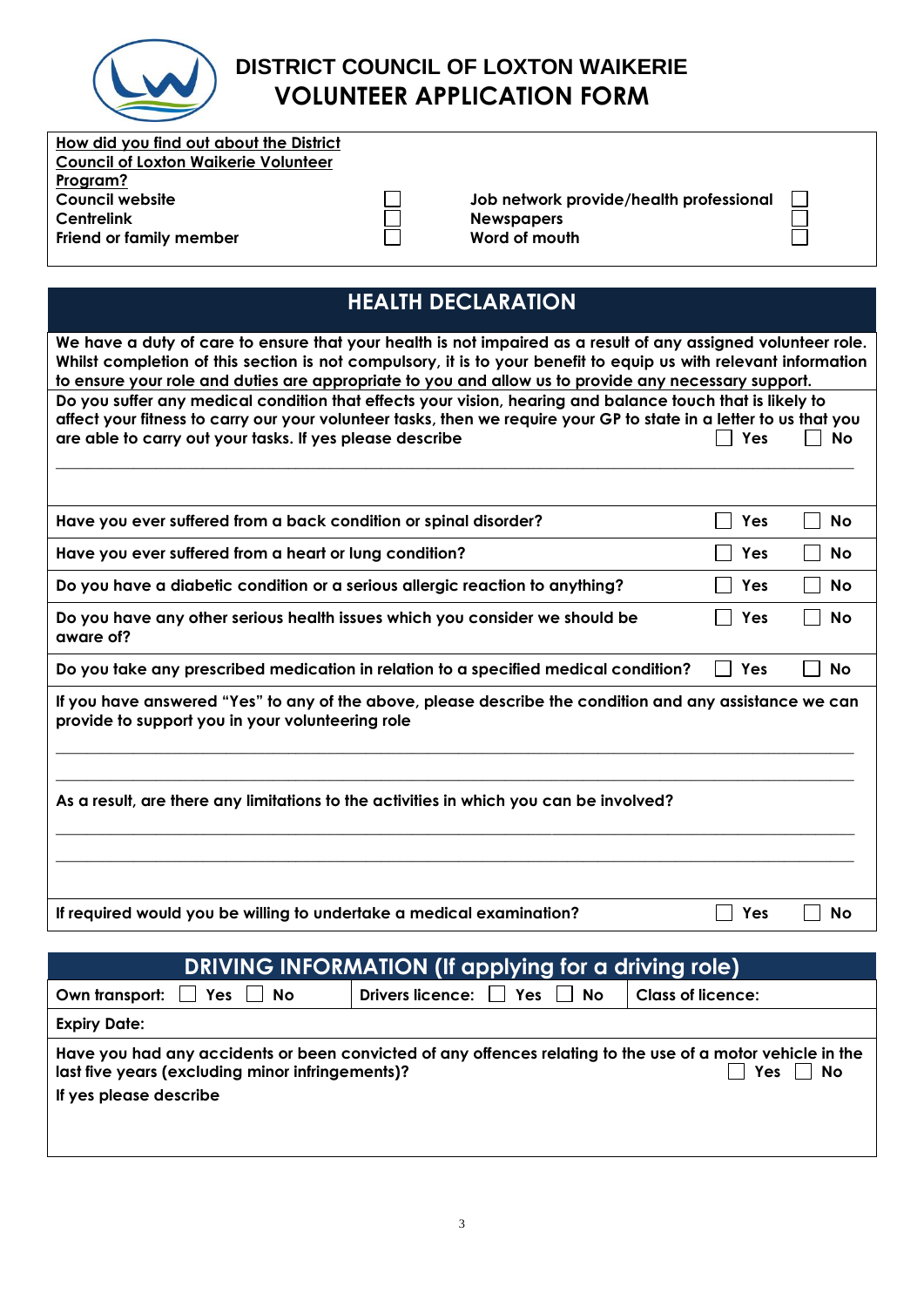

| How did you find out about the District |  |  |
|-----------------------------------------|--|--|
| Council of Loxton Waikerie Volunteer    |  |  |
| Program?                                |  |  |
| <b>Council website</b>                  |  |  |
| <b>Centrelink</b>                       |  |  |
| Friend or family member                 |  |  |

**Job network provide/health professional Newspapers Word of mouth**

 $\Box$ Ę

# **HEALTH DECLARATION**

 $\begin{array}{|c|} \hline \quad \quad & \quad \quad \\ \hline \quad \quad & \quad \quad \\ \hline \end{array}$ 

| We have a duty of care to ensure that your health is not impaired as a result of any assigned volunteer role.<br>Whilst completion of this section is not compulsory, it is to your benefit to equip us with relevant information<br>to ensure your role and duties are appropriate to you and allow us to provide any necessary support. |     |           |  |
|-------------------------------------------------------------------------------------------------------------------------------------------------------------------------------------------------------------------------------------------------------------------------------------------------------------------------------------------|-----|-----------|--|
| Do you suffer any medical condition that effects your vision, hearing and balance touch that is likely to                                                                                                                                                                                                                                 |     |           |  |
| affect your fitness to carry our your volunteer tasks, then we require your GP to state in a letter to us that you                                                                                                                                                                                                                        |     |           |  |
| are able to carry out your tasks. If yes please describe                                                                                                                                                                                                                                                                                  | Yes | <b>No</b> |  |
|                                                                                                                                                                                                                                                                                                                                           |     |           |  |
| Have you ever suffered from a back condition or spinal disorder?                                                                                                                                                                                                                                                                          | Yes | No        |  |
| Have you ever suffered from a heart or lung condition?                                                                                                                                                                                                                                                                                    | Yes | <b>No</b> |  |
| Do you have a diabetic condition or a serious allergic reaction to anything?                                                                                                                                                                                                                                                              | Yes | No        |  |
| Do you have any other serious health issues which you consider we should be<br>aware of?                                                                                                                                                                                                                                                  | Yes | <b>No</b> |  |
| Do you take any prescribed medication in relation to a specified medical condition?                                                                                                                                                                                                                                                       | Yes | No        |  |
| If you have answered "Yes" to any of the above, please describe the condition and any assistance we can<br>provide to support you in your volunteering role                                                                                                                                                                               |     |           |  |
| As a result, are there any limitations to the activities in which you can be involved?                                                                                                                                                                                                                                                    |     |           |  |
| If required would you be willing to undertake a medical examination?                                                                                                                                                                                                                                                                      | Yes | <b>No</b> |  |

| DRIVING INFORMATION (If applying for a driving role)                                                                                                                          |                                       |                          |  |
|-------------------------------------------------------------------------------------------------------------------------------------------------------------------------------|---------------------------------------|--------------------------|--|
| Own transport:<br>Yes<br>No                                                                                                                                                   | Drivers licence: $\Box$ Yes $\Box$ No | <b>Class of licence:</b> |  |
| <b>Expiry Date:</b>                                                                                                                                                           |                                       |                          |  |
| Have you had any accidents or been convicted of any offences relating to the use of a motor vehicle in the<br>Yes<br>last five years (excluding minor infringements)?<br>  No |                                       |                          |  |
| If yes please describe                                                                                                                                                        |                                       |                          |  |
|                                                                                                                                                                               |                                       |                          |  |